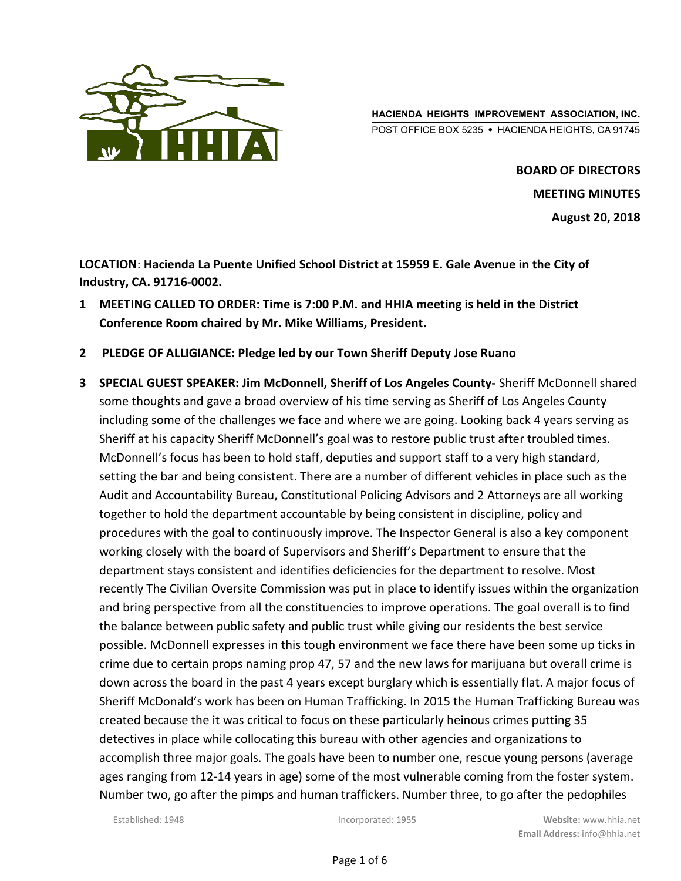

HACIENDA HEIGHTS IMPROVEMENT ASSOCIATION, INC. POST OFFICE BOX 5235 · HACIENDA HEIGHTS, CA 91745

> BOARD OF DIRECTORS MEETING MINUTES August 20, 2018

LOCATION: Hacienda La Puente Unified School District at 15959 E. Gale Avenue in the City of Industry, CA. 91716-0002.

- 1 MEETING CALLED TO ORDER: Time is 7:00 P.M. and HHIA meeting is held in the District Conference Room chaired by Mr. Mike Williams, President.
- 2 PLEDGE OF ALLIGIANCE: Pledge led by our Town Sheriff Deputy Jose Ruano
- 3 SPECIAL GUEST SPEAKER: Jim McDonnell, Sheriff of Los Angeles County- Sheriff McDonnell shared some thoughts and gave a broad overview of his time serving as Sheriff of Los Angeles County including some of the challenges we face and where we are going. Looking back 4 years serving as Sheriff at his capacity Sheriff McDonnell's goal was to restore public trust after troubled times. McDonnell's focus has been to hold staff, deputies and support staff to a very high standard, setting the bar and being consistent. There are a number of different vehicles in place such as the Audit and Accountability Bureau, Constitutional Policing Advisors and 2 Attorneys are all working together to hold the department accountable by being consistent in discipline, policy and procedures with the goal to continuously improve. The Inspector General is also a key component working closely with the board of Supervisors and Sheriff's Department to ensure that the department stays consistent and identifies deficiencies for the department to resolve. Most recently The Civilian Oversite Commission was put in place to identify issues within the organization and bring perspective from all the constituencies to improve operations. The goal overall is to find the balance between public safety and public trust while giving our residents the best service possible. McDonnell expresses in this tough environment we face there have been some up ticks in crime due to certain props naming prop 47, 57 and the new laws for marijuana but overall crime is down across the board in the past 4 years except burglary which is essentially flat. A major focus of Sheriff McDonald's work has been on Human Trafficking. In 2015 the Human Trafficking Bureau was created because the it was critical to focus on these particularly heinous crimes putting 35 detectives in place while collocating this bureau with other agencies and organizations to accomplish three major goals. The goals have been to number one, rescue young persons (average ages ranging from 12-14 years in age) some of the most vulnerable coming from the foster system. Number two, go after the pimps and human traffickers. Number three, to go after the pedophiles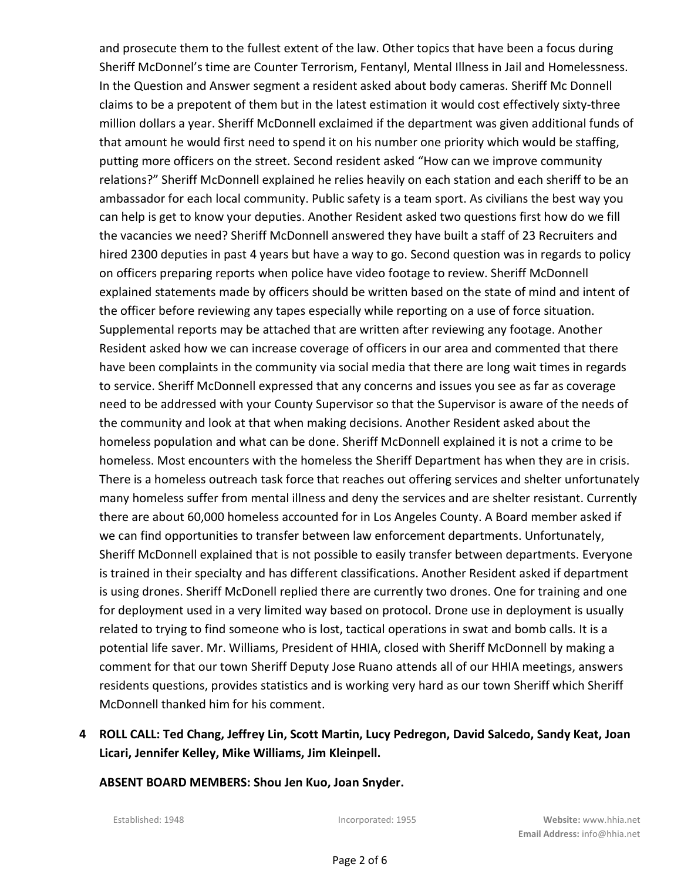and prosecute them to the fullest extent of the law. Other topics that have been a focus during Sheriff McDonnel's time are Counter Terrorism, Fentanyl, Mental Illness in Jail and Homelessness. In the Question and Answer segment a resident asked about body cameras. Sheriff Mc Donnell claims to be a prepotent of them but in the latest estimation it would cost effectively sixty-three million dollars a year. Sheriff McDonnell exclaimed if the department was given additional funds of that amount he would first need to spend it on his number one priority which would be staffing, putting more officers on the street. Second resident asked "How can we improve community relations?" Sheriff McDonnell explained he relies heavily on each station and each sheriff to be an ambassador for each local community. Public safety is a team sport. As civilians the best way you can help is get to know your deputies. Another Resident asked two questions first how do we fill the vacancies we need? Sheriff McDonnell answered they have built a staff of 23 Recruiters and hired 2300 deputies in past 4 years but have a way to go. Second question was in regards to policy on officers preparing reports when police have video footage to review. Sheriff McDonnell explained statements made by officers should be written based on the state of mind and intent of the officer before reviewing any tapes especially while reporting on a use of force situation. Supplemental reports may be attached that are written after reviewing any footage. Another Resident asked how we can increase coverage of officers in our area and commented that there have been complaints in the community via social media that there are long wait times in regards to service. Sheriff McDonnell expressed that any concerns and issues you see as far as coverage need to be addressed with your County Supervisor so that the Supervisor is aware of the needs of the community and look at that when making decisions. Another Resident asked about the homeless population and what can be done. Sheriff McDonnell explained it is not a crime to be homeless. Most encounters with the homeless the Sheriff Department has when they are in crisis. There is a homeless outreach task force that reaches out offering services and shelter unfortunately many homeless suffer from mental illness and deny the services and are shelter resistant. Currently there are about 60,000 homeless accounted for in Los Angeles County. A Board member asked if we can find opportunities to transfer between law enforcement departments. Unfortunately, Sheriff McDonnell explained that is not possible to easily transfer between departments. Everyone is trained in their specialty and has different classifications. Another Resident asked if department is using drones. Sheriff McDonell replied there are currently two drones. One for training and one for deployment used in a very limited way based on protocol. Drone use in deployment is usually related to trying to find someone who is lost, tactical operations in swat and bomb calls. It is a potential life saver. Mr. Williams, President of HHIA, closed with Sheriff McDonnell by making a comment for that our town Sheriff Deputy Jose Ruano attends all of our HHIA meetings, answers residents questions, provides statistics and is working very hard as our town Sheriff which Sheriff McDonnell thanked him for his comment.

4 ROLL CALL: Ted Chang, Jeffrey Lin, Scott Martin, Lucy Pedregon, David Salcedo, Sandy Keat, Joan Licari, Jennifer Kelley, Mike Williams, Jim Kleinpell.

ABSENT BOARD MEMBERS: Shou Jen Kuo, Joan Snyder.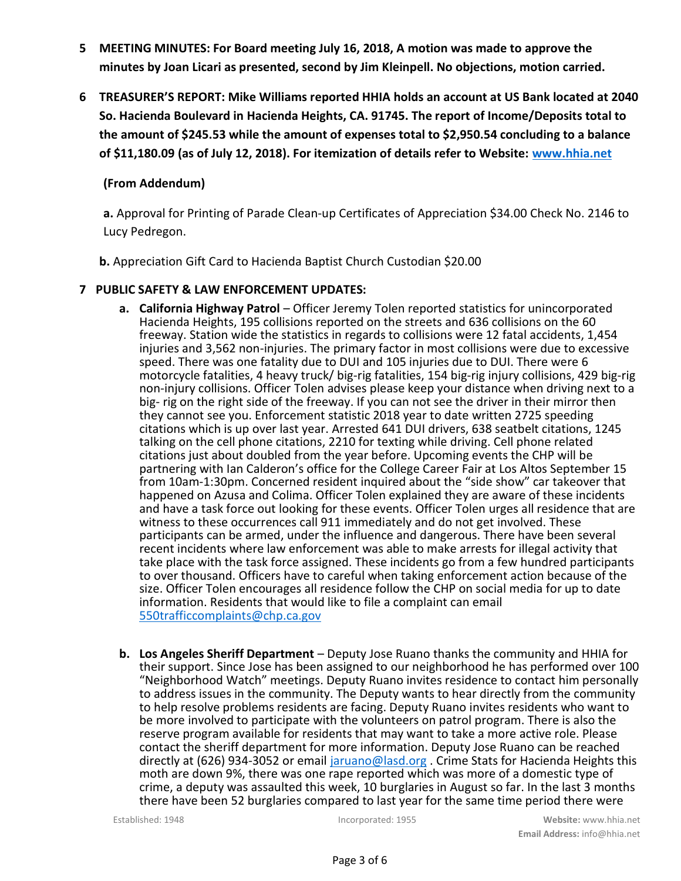- 5 MEETING MINUTES: For Board meeting July 16, 2018, A motion was made to approve the minutes by Joan Licari as presented, second by Jim Kleinpell. No objections, motion carried.
- 6 TREASURER'S REPORT: Mike Williams reported HHIA holds an account at US Bank located at 2040 So. Hacienda Boulevard in Hacienda Heights, CA. 91745. The report of Income/Deposits total to the amount of \$245.53 while the amount of expenses total to \$2,950.54 concluding to a balance of \$11,180.09 (as of July 12, 2018). For itemization of details refer to Website: www.hhia.net

# (From Addendum)

a. Approval for Printing of Parade Clean-up Certificates of Appreciation \$34.00 Check No. 2146 to Lucy Pedregon.

b. Appreciation Gift Card to Hacienda Baptist Church Custodian \$20.00

# 7 PUBLIC SAFETY & LAW ENFORCEMENT UPDATES:

- a. California Highway Patrol Officer Jeremy Tolen reported statistics for unincorporated Hacienda Heights, 195 collisions reported on the streets and 636 collisions on the 60 freeway. Station wide the statistics in regards to collisions were 12 fatal accidents, 1,454 injuries and 3,562 non-injuries. The primary factor in most collisions were due to excessive speed. There was one fatality due to DUI and 105 injuries due to DUI. There were 6 motorcycle fatalities, 4 heavy truck/ big-rig fatalities, 154 big-rig injury collisions, 429 big-rig non-injury collisions. Officer Tolen advises please keep your distance when driving next to a big- rig on the right side of the freeway. If you can not see the driver in their mirror then they cannot see you. Enforcement statistic 2018 year to date written 2725 speeding citations which is up over last year. Arrested 641 DUI drivers, 638 seatbelt citations, 1245 talking on the cell phone citations, 2210 for texting while driving. Cell phone related citations just about doubled from the year before. Upcoming events the CHP will be partnering with Ian Calderon's office for the College Career Fair at Los Altos September 15 from 10am-1:30pm. Concerned resident inquired about the "side show" car takeover that happened on Azusa and Colima. Officer Tolen explained they are aware of these incidents and have a task force out looking for these events. Officer Tolen urges all residence that are witness to these occurrences call 911 immediately and do not get involved. These participants can be armed, under the influence and dangerous. There have been several recent incidents where law enforcement was able to make arrests for illegal activity that take place with the task force assigned. These incidents go from a few hundred participants to over thousand. Officers have to careful when taking enforcement action because of the size. Officer Tolen encourages all residence follow the CHP on social media for up to date information. Residents that would like to file a complaint can email 550trafficcomplaints@chp.ca.gov
- b. Los Angeles Sheriff Department Deputy Jose Ruano thanks the community and HHIA for their support. Since Jose has been assigned to our neighborhood he has performed over 100 "Neighborhood Watch" meetings. Deputy Ruano invites residence to contact him personally to address issues in the community. The Deputy wants to hear directly from the community to help resolve problems residents are facing. Deputy Ruano invites residents who want to be more involved to participate with the volunteers on patrol program. There is also the reserve program available for residents that may want to take a more active role. Please contact the sheriff department for more information. Deputy Jose Ruano can be reached directly at (626) 934-3052 or email jaruano@lasd.org . Crime Stats for Hacienda Heights this moth are down 9%, there was one rape reported which was more of a domestic type of crime, a deputy was assaulted this week, 10 burglaries in August so far. In the last 3 months there have been 52 burglaries compared to last year for the same time period there were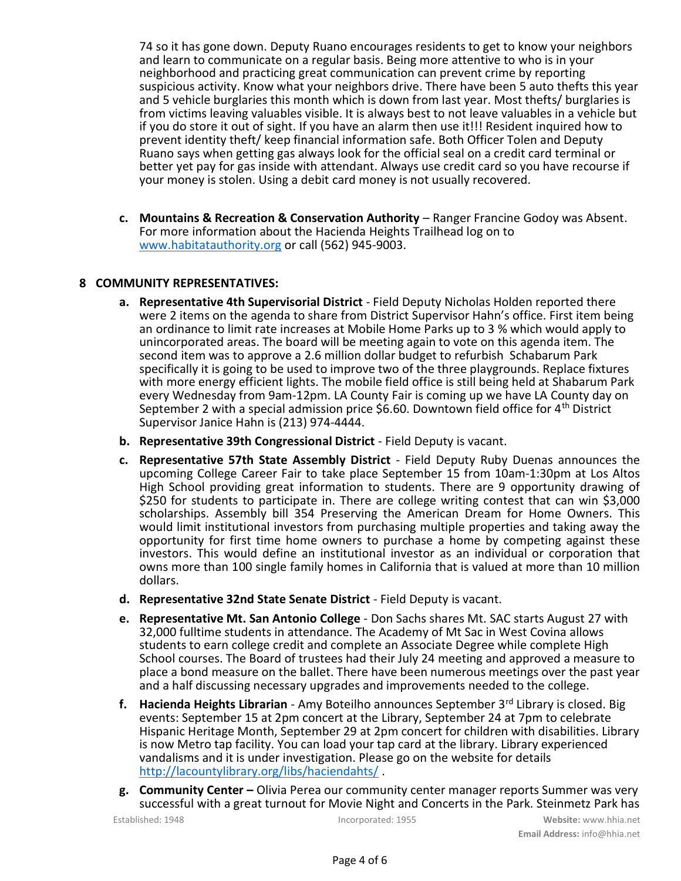74 so it has gone down. Deputy Ruano encourages residents to get to know your neighbors and learn to communicate on a regular basis. Being more attentive to who is in your neighborhood and practicing great communication can prevent crime by reporting suspicious activity. Know what your neighbors drive. There have been 5 auto thefts this year and 5 vehicle burglaries this month which is down from last year. Most thefts/ burglaries is from victims leaving valuables visible. It is always best to not leave valuables in a vehicle but if you do store it out of sight. If you have an alarm then use it!!! Resident inquired how to prevent identity theft/ keep financial information safe. Both Officer Tolen and Deputy Ruano says when getting gas always look for the official seal on a credit card terminal or better yet pay for gas inside with attendant. Always use credit card so you have recourse if your money is stolen. Using a debit card money is not usually recovered.

c. Mountains & Recreation & Conservation Authority – Ranger Francine Godoy was Absent. For more information about the Hacienda Heights Trailhead log on to www.habitatauthority.org or call (562) 945-9003.

### 8 COMMUNITY REPRESENTATIVES:

- a. Representative 4th Supervisorial District Field Deputy Nicholas Holden reported there were 2 items on the agenda to share from District Supervisor Hahn's office. First item being an ordinance to limit rate increases at Mobile Home Parks up to 3 % which would apply to unincorporated areas. The board will be meeting again to vote on this agenda item. The second item was to approve a 2.6 million dollar budget to refurbish Schabarum Park specifically it is going to be used to improve two of the three playgrounds. Replace fixtures with more energy efficient lights. The mobile field office is still being held at Shabarum Park every Wednesday from 9am-12pm. LA County Fair is coming up we have LA County day on September 2 with a special admission price \$6.60. Downtown field office for  $4<sup>th</sup>$  District Supervisor Janice Hahn is (213) 974-4444.
- b. Representative 39th Congressional District Field Deputy is vacant.
- c. Representative 57th State Assembly District Field Deputy Ruby Duenas announces the upcoming College Career Fair to take place September 15 from 10am-1:30pm at Los Altos High School providing great information to students. There are 9 opportunity drawing of \$250 for students to participate in. There are college writing contest that can win \$3,000 scholarships. Assembly bill 354 Preserving the American Dream for Home Owners. This would limit institutional investors from purchasing multiple properties and taking away the opportunity for first time home owners to purchase a home by competing against these investors. This would define an institutional investor as an individual or corporation that owns more than 100 single family homes in California that is valued at more than 10 million dollars.
- d. Representative 32nd State Senate District Field Deputy is vacant.
- e. Representative Mt. San Antonio College Don Sachs shares Mt. SAC starts August 27 with 32,000 fulltime students in attendance. The Academy of Mt Sac in West Covina allows students to earn college credit and complete an Associate Degree while complete High School courses. The Board of trustees had their July 24 meeting and approved a measure to place a bond measure on the ballet. There have been numerous meetings over the past year and a half discussing necessary upgrades and improvements needed to the college.
- f. Hacienda Heights Librarian Amy Boteilho announces September  $3<sup>rd</sup>$  Library is closed. Big events: September 15 at 2pm concert at the Library, September 24 at 7pm to celebrate Hispanic Heritage Month, September 29 at 2pm concert for children with disabilities. Library is now Metro tap facility. You can load your tap card at the library. Library experienced vandalisms and it is under investigation. Please go on the website for details http://lacountylibrary.org/libs/haciendahts/ .
- g. Community Center Olivia Perea our community center manager reports Summer was very successful with a great turnout for Movie Night and Concerts in the Park. Steinmetz Park has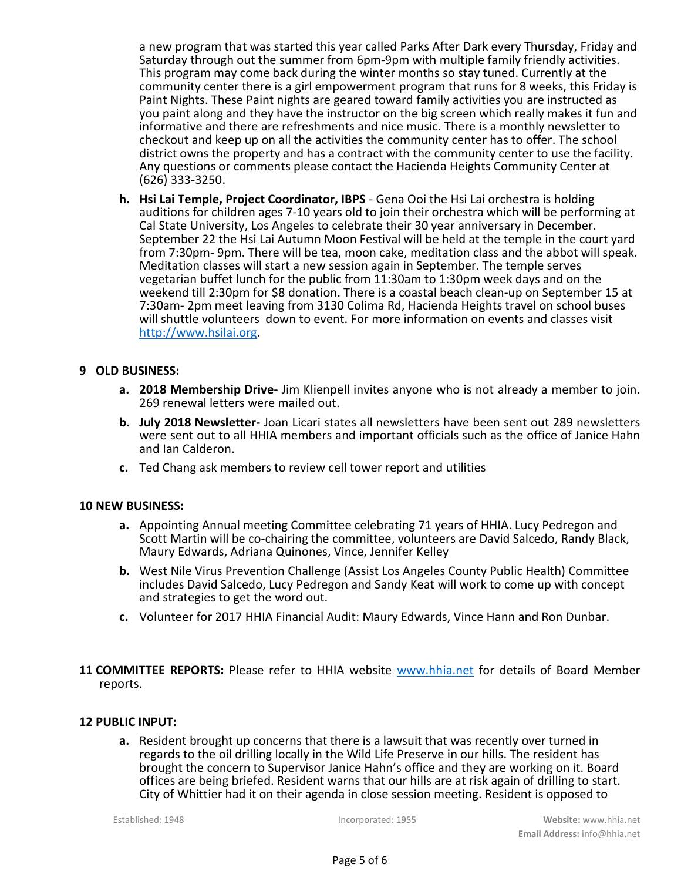a new program that was started this year called Parks After Dark every Thursday, Friday and Saturday through out the summer from 6pm-9pm with multiple family friendly activities. This program may come back during the winter months so stay tuned. Currently at the community center there is a girl empowerment program that runs for 8 weeks, this Friday is Paint Nights. These Paint nights are geared toward family activities you are instructed as you paint along and they have the instructor on the big screen which really makes it fun and informative and there are refreshments and nice music. There is a monthly newsletter to checkout and keep up on all the activities the community center has to offer. The school district owns the property and has a contract with the community center to use the facility. Any questions or comments please contact the Hacienda Heights Community Center at (626) 333-3250.

h. Hsi Lai Temple, Project Coordinator, IBPS - Gena Ooi the Hsi Lai orchestra is holding auditions for children ages 7-10 years old to join their orchestra which will be performing at Cal State University, Los Angeles to celebrate their 30 year anniversary in December. September 22 the Hsi Lai Autumn Moon Festival will be held at the temple in the court yard from 7:30pm- 9pm. There will be tea, moon cake, meditation class and the abbot will speak. Meditation classes will start a new session again in September. The temple serves vegetarian buffet lunch for the public from 11:30am to 1:30pm week days and on the weekend till 2:30pm for \$8 donation. There is a coastal beach clean-up on September 15 at 7:30am- 2pm meet leaving from 3130 Colima Rd, Hacienda Heights travel on school buses will shuttle volunteers down to event. For more information on events and classes visit http://www.hsilai.org.

#### 9 OLD BUSINESS:

- a. 2018 Membership Drive- Jim Klienpell invites anyone who is not already a member to join. 269 renewal letters were mailed out.
- b. July 2018 Newsletter- Joan Licari states all newsletters have been sent out 289 newsletters were sent out to all HHIA members and important officials such as the office of Janice Hahn and Ian Calderon.
- c. Ted Chang ask members to review cell tower report and utilities

#### 10 NEW BUSINESS:

- a. Appointing Annual meeting Committee celebrating 71 years of HHIA. Lucy Pedregon and Scott Martin will be co-chairing the committee, volunteers are David Salcedo, Randy Black, Maury Edwards, Adriana Quinones, Vince, Jennifer Kelley
- b. West Nile Virus Prevention Challenge (Assist Los Angeles County Public Health) Committee includes David Salcedo, Lucy Pedregon and Sandy Keat will work to come up with concept and strategies to get the word out.
- c. Volunteer for 2017 HHIA Financial Audit: Maury Edwards, Vince Hann and Ron Dunbar.
- 11 COMMITTEE REPORTS: Please refer to HHIA website www.hhia.net for details of Board Member reports.

### 12 PUBLIC INPUT:

a. Resident brought up concerns that there is a lawsuit that was recently over turned in regards to the oil drilling locally in the Wild Life Preserve in our hills. The resident has brought the concern to Supervisor Janice Hahn's office and they are working on it. Board offices are being briefed. Resident warns that our hills are at risk again of drilling to start. City of Whittier had it on their agenda in close session meeting. Resident is opposed to